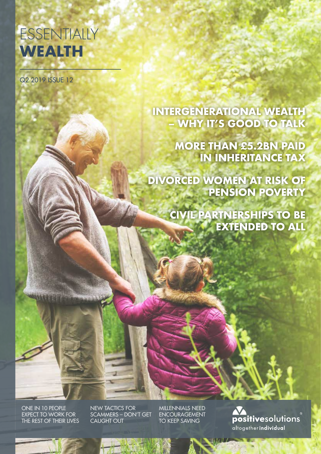# **ESSENTIALLY WEALTH**

Q2 2019 ISSUE 12

**INTERGENERATIONAL WEALTH – WHY IT'S GOOD TO TALK**

> **MORE THAN £5.2BN PAID IN INHERITANCE TAX**

**DIVORCED WOMEN AT RISK OF PENSION POVERTY**

> **CIVIL PARTNERSHIPS TO BE EXTENDED TO ALL**

ONE IN 10 PEOPLE EXPECT TO WORK FOR THE REST OF THEIR LIVES NEW TACTICS FOR SCAMMERS – DON'T GET CAUGHT OUT

MILLENNIALS NEED ENCOURAGEMENT TO KEEP SAVING

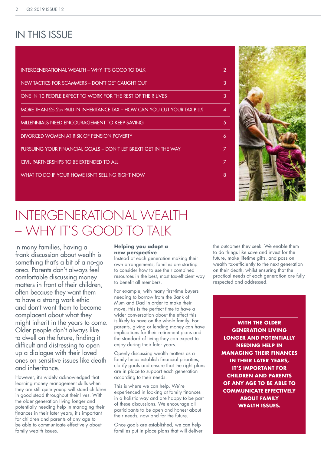### IN THIS ISSUE

| INTERGENERATIONAL WEALTH - WHY IT'S GOOD TO TALK                          | $\overline{2}$ |
|---------------------------------------------------------------------------|----------------|
| NEW TACTICS FOR SCAMMERS - DON'T GET CAUGHT OUT                           | 3              |
| ONE IN 10 PEOPLE EXPECT TO WORK FOR THE REST OF THEIR LIVES               | 3              |
| MORE THAN £5.2bn PAID IN INHERITANCE TAX – HOW CAN YOU CUT YOUR TAX BILL? | Δ              |
| MILLENNIALS NEED ENCOURAGEMENT TO KEEP SAVING                             | 5              |
| DIVORCED WOMEN AT RISK OF PENSION POVERTY                                 | 6              |
| PURSUING YOUR FINANCIAL GOALS - DON'T LET BREXIT GET IN THE WAY           | 7              |
| CIVIL PARTNERSHIPS TO BE EXTENDED TO ALL                                  | 7              |
| WHAT TO DO IF YOUR HOME ISN'T SELLING RIGHT NOW                           | 8              |
|                                                                           |                |



## INTERGENERATIONAL WEALTH – WHY IT'S GOOD TO TALK

In many families, having a frank discussion about wealth is something that's a bit of a no-go area. Parents don't always feel comfortable discussing money matters in front of their children, often because they want them to have a strong work ethic and don't want them to become complacent about what they might inherit in the years to come. Older people don't always like to dwell on the future, finding it difficult and distressing to open up a dialogue with their loved ones on sensitive issues like death and inheritance.

However, it's widely acknowledged that learning money management skills when they are still quite young will stand children in good stead throughout their lives. With the older generation living longer and potentially needing help in managing their finances in their later years, it's important for children and parents of any age to be able to communicate effectively about family wealth issues.

#### **Helping you adopt a new perspective**

Instead of each generation making their own arrangements, families are starting to consider how to use their combined resources in the best, most tax-efficient way to benefit all members.

For example, with many first-time buyers needing to borrow from the Bank of Mum and Dad in order to make their move, this is the perfect time to have a wider conversation about the effect this is likely to have on the whole family. For parents, giving or lending money can have implications for their retirement plans and the standard of living they can expect to enjoy during their later years.

Openly discussing wealth matters as a family helps establish financial priorities, clarify goals and ensure that the right plans are in place to support each generation according to their needs.

This is where we can help. We're experienced in looking at family finances in a holistic way and are happy to be part of these discussions. We encourage all participants to be open and honest about their needs, now and for the future.

Once goals are established, we can help families put in place plans that will deliver the outcomes they seek. We enable them to do things like save and invest for the future, make lifetime gifts, and pass on wealth tax-efficiently to the next generation on their death, whilst ensuring that the practical needs of each generation are fully respected and addressed.

**WITH THE OLDER GENERATION LIVING LONGER AND POTENTIALLY NEEDING HELP IN MANAGING THEIR FINANCES IN THEIR LATER YEARS. IT'S IMPORTANT FOR CHILDREN AND PARENTS OF ANY AGE TO BE ABLE TO COMMUNICATE EFFECTIVELY ABOUT FAMILY WEALTH ISSUES.**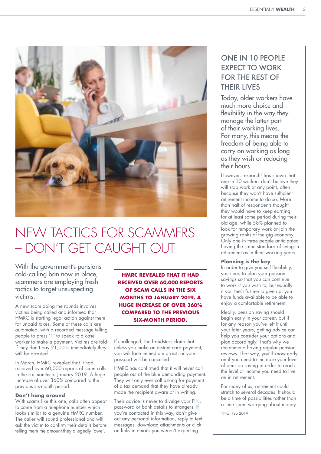

## NEW TACTICS FOR SCAMMERS – DON'T GET CAUGHT OUT

With the government's pensions cold-calling ban now in place, scammers are employing fresh tactics to target unsuspecting victims.

A new scam doing the rounds involves victims being called and informed that HMRC is starting legal action against them for unpaid taxes. Some of these calls are automated, with a recorded message telling people to press '1' to speak to a case worker to make a payment. Victims are told if they don't pay £1,000s immediately they will be arrested.

In March, HMRC revealed that it had received over 60,000 reports of scam calls in the six months to January 2019. A huge increase of over 360% compared to the previous six-month period.

#### **Don't hang around**

With scams like this one, calls often appear to come from a telephone number which looks similar to a genuine HMRC number. The caller will sound professional and will ask the victim to confirm their details before telling them the amount they allegedly 'owe'.

**HMRC REVEALED THAT IT HAD RECEIVED OVER 60,000 REPORTS OF SCAM CALLS IN THE SIX MONTHS TO JANUARY 2019. A HUGE INCREASE OF OVER 360% COMPARED TO THE PREVIOUS SIX-MONTH PERIOD.**

If challenged, the fraudsters claim that unless you make an instant card payment, you will face immediate arrest, or your passport will be cancelled.

HMRC has confirmed that it will never call people out of the blue demanding payment. They will only ever call asking for payment of a tax demand that they have already made the recipient aware of in writing.

Their advice is never to divulge your PIN, password or bank details to strangers. If you're contacted in this way, don't give out any personal information, reply to text messages, download attachments or click on links in emails you weren't expecting.

### ONE IN 10 PEOPLE EXPECT TO WORK FOR THE REST OF THEIR LIVES

Today, older workers have much more choice and flexibility in the way they manage the latter part of their working lives. For many, this means the freedom of being able to carry on working as long as they wish or reducing their hours.

However, research<sup>1</sup> has shown that one in 10 workers don't believe they will stop work at any point, often because they won't have sufficient retirement income to do so. More than half of respondents thought they would have to keep earning for at least some period during their old age, while 58% planned to look for temporary work or join the growing ranks of the gig economy. Only one in three people anticipated having the same standard of living in retirement as in their working years.

#### **Planning is the key**

In order to give yourself flexibility, you need to plan your pension savings so that you can continue to work if you wish to, but equally if you feel it's time to give up, you have funds available to be able to enjoy a comfortable retirement.

Ideally, pension saving should begin early in your career, but if for any reason you've left it until your later years, getting advice can help you consider your options and plan accordingly. That's why we recommend having regular pension reviews. That way, you'll know early on if you need to increase your level of pension saving in order to reach the level of income you need to live on in retirement.

For many of us, retirement could stretch to several decades. It should be a time of possibilities rather than a time spent worrying about money.

1ING, Feb 2019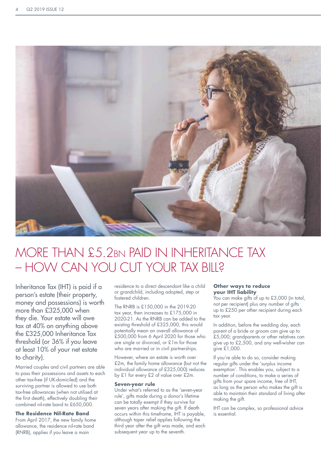

### MORE THAN £5.2bn PAID IN INHERITANCE TAX – HOW CAN YOU CUT YOUR TAX BILL?

Inheritance Tax (IHT) is paid if a person's estate (their property, money and possessions) is worth more than £325,000 when they die. Your estate will owe tax at 40% on anything above the £325,000 Inheritance Tax threshold (or 36% if you leave at least 10% of your net estate to charity).

Married couples and civil partners are able to pass their possessions and assets to each other tax-free (if UK-domiciled) and the surviving partner is allowed to use both tax-free allowances (when not utilised at the first death), effectively doubling their combined nil-rate band to £650,000.

#### **The Residence Nil-Rate Band**

From April 2017, the new family home allowance, the residence nil-rate band (RNRB), applies if you leave a main

residence to a direct descendant like a child or grandchild, including adopted, step or fostered children.

The RNRB is £150,000 in the 2019-20 tax year, then increases to £175,000 in 2020-21. As the RNRB can be added to the existing threshold of £325,000, this would potentially mean an overall allowance of £500,000 from 6 April 2020 for those who are single or divorced, or £1m for those who are married or in civil partnerships.

However, where an estate is worth over £2m, the family home allowance (but not the individual allowance of £325,000) reduces by £1 for every £2 of value over £2m.

#### **Seven-year rule**

Under what's referred to as the 'seven-year rule', gifts made during a donor's lifetime can be totally exempt if they survive for seven years after making the gift. If death occurs within this timeframe, IHT is payable, although taper relief applies following the third year after the gift was made, and each subsequent year up to the seventh.

#### **Other ways to reduce your IHT liability**

You can make gifts of up to £3,000 (in total, not per recipient) plus any number of gifts up to £250 per other recipient during each tax year.

In addition, before the wedding day, each parent of a bride or groom can give up to £5,000; grandparents or other relatives can give up to £2,500, and any well-wisher can give £1,000.

If you're able to do so, consider making regular gifts under the 'surplus income exemption'. This enables you, subject to a number of conditions, to make a series of gifts from your spare income, free of IHT, as long as the person who makes the gift is able to maintain their standard of living after making the gift.

IHT can be complex, so professional advice is essential.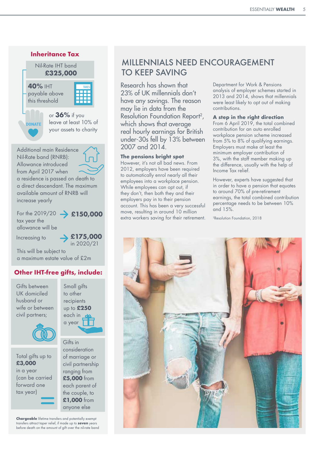



Total gifts up to **£3,000** in a year (can be carried forward one tax year)

Gifts in consideration of marriage or civil partnership ranging from **£5,000** from each parent of the couple, to **£1,000** from anyone else

**Chargeable** lifetime transfers and potentially exempt transfers attract taper relief, if made up to **seven** years before death on the amount of gift over the nil-rate band

### MILLENNIALS NEED ENCOURAGEMENT TO KEEP SAVING

Research has shown that 23% of UK millennials don't have any savings. The reason may lie in data from the Resolution Foundation Report2, which shows that average real hourly earnings for British under-30s fell by 13% between 2007 and 2014.

#### **The pensions bright spot**

However, it's not all bad news. From 2012, employers have been required to automatically enrol nearly all their employees into a workplace pension. While employees can opt out, if they don't, then both they and their employers pay in to their pension account. This has been a very successful move, resulting in around 10 million extra workers saving for their retirement. Department for Work & Pensions analysis of employer schemes started in 2013 and 2014, shows that millennials were least likely to opt out of making contributions.

#### **A step in the right direction**

From 6 April 2019, the total combined contribution for an auto enrolled workplace pension scheme increased from 5% to 8% of qualifying earnings. Employers must make at least the minimum employer contribution of 3%, with the staff member making up the difference, usually with the help of Income Tax relief.

However, experts have suggested that in order to have a pension that equates to around 70% of pre-retirement earnings, the total combined contribution percentage needs to be between 10% and 15%.

2Resolution Foundation, 2018

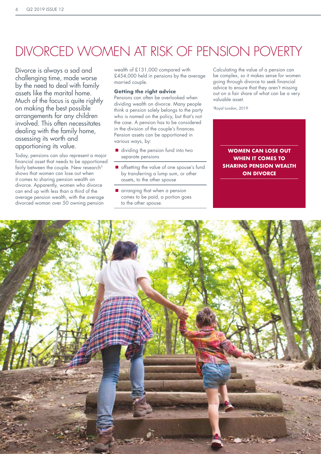## DIVORCED WOMEN AT RISK OF PENSION POVERTY

Divorce is always a sad and challenging time, made worse by the need to deal with family assets like the marital home. Much of the focus is quite rightly on making the best possible arrangements for any children involved. This often necessitates dealing with the family home, assessing its worth and apportioning its value.

Today, pensions can also represent a major financial asset that needs to be apportioned fairly between the couple. New research<sup>3</sup> shows that women can lose out when it comes to sharing pension wealth on divorce. Apparently, women who divorce can end up with less than a third of the average pension wealth, with the average divorced woman over 50 owning pension

wealth of £131,000 compared with £454,000 held in pensions by the average married couple.

#### **Getting the right advice**

Pensions can often be overlooked when dividing wealth on divorce. Many people think a pension solely belongs to the party who is named on the policy, but that's not the case. A pension has to be considered in the division of the couple's finances. Pension assets can be apportioned in various ways, by:

- dividing the pension fund into two separate pensions
- $\blacksquare$  offsetting the value of one spouse's fund by transferring a lump sum, or other assets, to the other spouse
- **u** arranging that when a pension comes to be paid, a portion goes to the other spouse.

Calculating the value of a pension can be complex, so it makes sense for women going through divorce to seek financial advice to ensure that they aren't missing out on a fair share of what can be a very valuable asset.

3Royal London, 2019

**WOMEN CAN LOSE OUT WHEN IT COMES TO SHARING PENSION WEALTH ON DIVORCE**

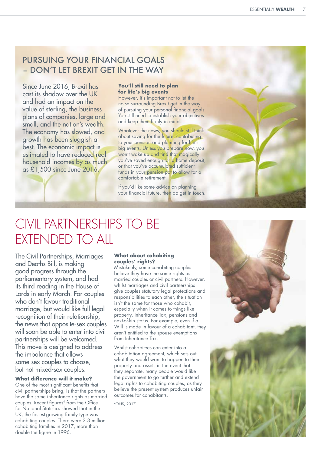### PURSUING YOUR FINANCIAL GOALS – DON'T LET BREXIT GET IN THE WAY

Since June 2016, Brexit has cast its shadow over the UK and had an impact on the value of sterling, the business plans of companies, large and small, and the nation's wealth. The economy has slowed, and growth has been sluggish at best. The economic impact is estimated to have reduced real household incomes by as much as £1,500 since June 2016.

#### **You'll still need to plan for life's big events**

However, it's important not to let the noise surrounding Brexit get in the way of pursuing your personal financial goals. You still need to establish your objectives and keep them firmly in mind.

Whatever the news, you should still think about saving for the future, contributing to your pension and planning for life's big events. Unless you prepare now, you won't wake up and find that magically you've saved enough for a home deposit, or that you've accumulated sufficient funds in your pension pot to allow for a comfortable retirement.

If you'd like some advice on planning your financial future, then do get in touch.

### CIVIL PARTNERSHIPS TO BE EXTENDED TO ALL

The Civil Partnerships, Marriages and Deaths Bill, is making good progress through the parliamentary system, and had its third reading in the House of Lords in early March. For couples who don't favour traditional marriage, but would like full legal recognition of their relationship, the news that opposite-sex couples will soon be able to enter into civil partnerships will be welcomed. This move is designed to address the imbalance that allows same-sex couples to choose, but not mixed-sex couples.

#### **What difference will it make?**

One of the most significant benefits that civil partnerships bring, is that the partners have the same inheritance rights as married couples. Recent figures 4 from the Office for National Statistics showed that in the UK, the fastest-growing family type was cohabiting couples. There were 3.3 million cohabiting families in 2017, more than double the figure in 1996.

#### **What about cohabiting couples' rights?**

Mistakenly, some cohabiting couples believe they have the same rights as married couples or civil partners. However, whilst marriages and civil partnerships give couples statutory legal protections and responsibilities to each other, the situation isn't the same for those who cohabit, especially when it comes to things like property, Inheritance Tax, pensions and next-of-kin status. For example, even if a Will is made in favour of a cohabitant, they aren't entitled to the spouse exemptions from Inheritance Tax.

Whilst cohabitees can enter into a cohabitation agreement, which sets out what they would want to happen to their property and assets in the event that they separate, many people would like the government to go further and extend legal rights to cohabiting couples, as they believe the present system produces unfair outcomes for cohabitants.

4ONS, 2017